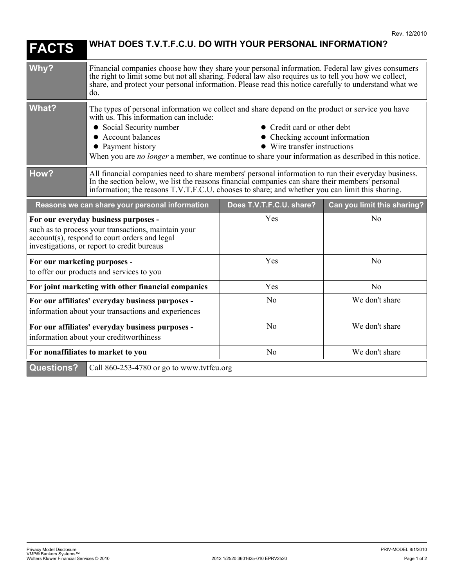| <b>FACTS</b>                                                                                                                                                                                | WHAT DOES T.V.T.F.C.U. DO WITH YOUR PERSONAL INFORMATION?                                                                                                                                                                                                                                                                                                                                                                 |                          |                             |
|---------------------------------------------------------------------------------------------------------------------------------------------------------------------------------------------|---------------------------------------------------------------------------------------------------------------------------------------------------------------------------------------------------------------------------------------------------------------------------------------------------------------------------------------------------------------------------------------------------------------------------|--------------------------|-----------------------------|
| Why?                                                                                                                                                                                        | Financial companies choose how they share your personal information. Federal law gives consumers<br>the right to limit some but not all sharing. Federal law also requires us to tell you how we collect,<br>share, and protect your personal information. Please read this notice carefully to understand what we<br>do.                                                                                                 |                          |                             |
| <b>What?</b>                                                                                                                                                                                | The types of personal information we collect and share depend on the product or service you have<br>with us. This information can include:<br>• Credit card or other debt<br>• Social Security number<br>• Account balances<br>• Checking account information<br>• Payment history<br>■ Wire transfer instructions<br>When you are no longer a member, we continue to share your information as described in this notice. |                          |                             |
| How?                                                                                                                                                                                        | All financial companies need to share members' personal information to run their everyday business.<br>In the section below, we list the reasons financial companies can share their members' personal<br>information; the reasons T.V.T.F.C.U. chooses to share; and whether you can limit this sharing.                                                                                                                 |                          |                             |
| Reasons we can share your personal information                                                                                                                                              |                                                                                                                                                                                                                                                                                                                                                                                                                           | Does T.V.T.F.C.U. share? | Can you limit this sharing? |
| For our everyday business purposes -<br>such as to process your transactions, maintain your<br>account(s), respond to court orders and legal<br>investigations, or report to credit bureaus |                                                                                                                                                                                                                                                                                                                                                                                                                           | Yes                      | N <sub>o</sub>              |
| For our marketing purposes -<br>to offer our products and services to you                                                                                                                   |                                                                                                                                                                                                                                                                                                                                                                                                                           | Yes                      | No                          |
| For joint marketing with other financial companies                                                                                                                                          |                                                                                                                                                                                                                                                                                                                                                                                                                           | Yes                      | N <sub>o</sub>              |
| For our affiliates' everyday business purposes -<br>information about your transactions and experiences                                                                                     |                                                                                                                                                                                                                                                                                                                                                                                                                           | N <sub>0</sub>           | We don't share              |
| For our affiliates' everyday business purposes -<br>information about your creditworthiness                                                                                                 |                                                                                                                                                                                                                                                                                                                                                                                                                           | N <sub>o</sub>           | We don't share              |
| For nonaffiliates to market to you                                                                                                                                                          |                                                                                                                                                                                                                                                                                                                                                                                                                           | N <sub>o</sub>           | We don't share              |
| <b>Questions?</b><br>Call 860-253-4780 or go to www.tvtfcu.org                                                                                                                              |                                                                                                                                                                                                                                                                                                                                                                                                                           |                          |                             |